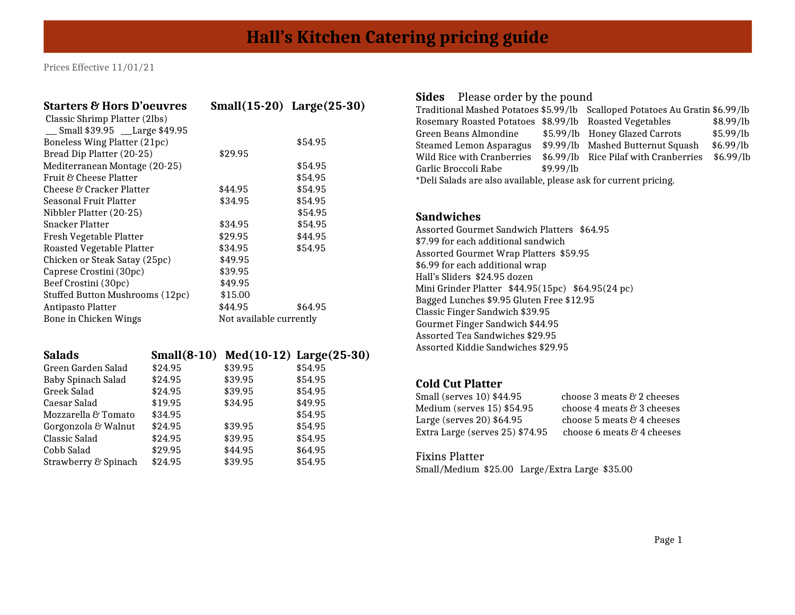| <b>Starters &amp; Hors D'oeuvres</b> | $Small(15-20)$ Large $(25-30)$ |         |
|--------------------------------------|--------------------------------|---------|
| Classic Shrimp Platter (2lbs)        |                                |         |
| Small \$39.95 __Large \$49.95        |                                |         |
| Boneless Wing Platter (21pc)         |                                | \$54.95 |
| Bread Dip Platter (20-25)            | \$29.95                        |         |
| Mediterranean Montage (20-25)        |                                | \$54.95 |
| Fruit & Cheese Platter               |                                | \$54.95 |
| Cheese & Cracker Platter             | \$44.95                        | \$54.95 |
| <b>Seasonal Fruit Platter</b>        | \$34.95                        | \$54.95 |
| Nibbler Platter (20-25)              |                                | \$54.95 |
| <b>Snacker Platter</b>               | \$34.95                        | \$54.95 |
| Fresh Vegetable Platter              | \$29.95                        | \$44.95 |
| Roasted Vegetable Platter            | \$34.95                        | \$54.95 |
| Chicken or Steak Satay (25pc)        | \$49.95                        |         |
| Caprese Crostini (30pc)              | \$39.95                        |         |
| Beef Crostini (30pc)                 | \$49.95                        |         |
| Stuffed Button Mushrooms (12pc)      | \$15.00                        |         |
| Antipasto Platter                    | \$44.95                        | \$64.95 |
| Bone in Chicken Wings                | Not available currently        |         |

| <b>Salads</b>        |         |         | Small $(8-10)$ Med $(10-12)$ Large $(25-30)$ |
|----------------------|---------|---------|----------------------------------------------|
| Green Garden Salad   | \$24.95 | \$39.95 | \$54.95                                      |
| Baby Spinach Salad   | \$24.95 | \$39.95 | \$54.95                                      |
| Greek Salad          | \$24.95 | \$39.95 | \$54.95                                      |
| Caesar Salad         | \$19.95 | \$34.95 | \$49.95                                      |
| Mozzarella & Tomato  | \$34.95 |         | \$54.95                                      |
| Gorgonzola & Walnut  | \$24.95 | \$39.95 | \$54.95                                      |
| Classic Salad        | \$24.95 | \$39.95 | \$54.95                                      |
| Cobb Salad           | \$29.95 | \$44.95 | \$64.95                                      |
| Strawberry & Spinach | \$24.95 | \$39.95 | \$54.95                                      |
|                      |         |         |                                              |

## **Sides** Please order by the pound

|                                                                  |  | \$8.99/lb                                                                                                                                                                                                                                              |  |
|------------------------------------------------------------------|--|--------------------------------------------------------------------------------------------------------------------------------------------------------------------------------------------------------------------------------------------------------|--|
|                                                                  |  | \$5.99/lb                                                                                                                                                                                                                                              |  |
|                                                                  |  | \$6.99/lb                                                                                                                                                                                                                                              |  |
|                                                                  |  | \$6.99/lb                                                                                                                                                                                                                                              |  |
| \$9.99/lb                                                        |  |                                                                                                                                                                                                                                                        |  |
| *Deli Salads are also available, please ask for current pricing. |  |                                                                                                                                                                                                                                                        |  |
|                                                                  |  | Traditional Mashed Potatoes \$5.99/lb Scalloped Potatoes Au Gratin \$6.99/lb<br>Rosemary Roasted Potatoes \$8.99/lb Roasted Vegetables<br>\$5.99/lb Honey Glazed Carrots<br>\$9.99/lb Mashed Butternut Squash<br>\$6.99/lb Rice Pilaf with Cranberries |  |

#### **Sandwiches**

Assorted Gourmet Sandwich Platters \$64.95 \$7.99 for each additional sandwich Assorted Gourmet Wrap Platters \$59.95 \$6.99 for each additional wrap Hall's Sliders \$24.95 dozen Mini Grinder Platter \$44.95(15pc) \$64.95(24 pc) Bagged Lunches \$9.95 Gluten Free \$12.95 Classic Finger Sandwich \$39.95 Gourmet Finger Sandwich \$44.95 Assorted Tea Sandwiches \$29.95 Assorted Kiddie Sandwiches \$29.95

# **Cold Cut Platter**

| Small (serves 10) \$44.95       | choose 3 meats & 2 cheeses |
|---------------------------------|----------------------------|
| Medium (serves 15) \$54.95      | choose 4 meats & 3 cheeses |
| Large (serves 20) \$64.95       | choose 5 meats & 4 cheeses |
| Extra Large (serves 25) \$74.95 | choose 6 meats & 4 cheeses |
|                                 |                            |

### Fixins Platter

Small/Medium \$25.00 Large/Extra Large \$35.00